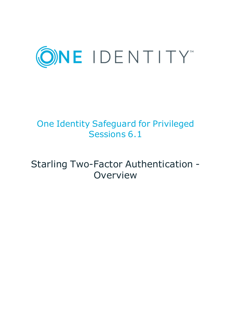

# One Identity Safeguard for Privileged Sessions 6.1

# Starling Two-Factor Authentication - Overview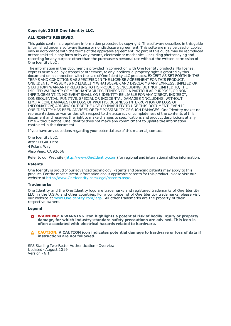#### **Copyright 2019 One Identity LLC.**

#### **ALL RIGHTS RESERVED.**

This guide contains proprietary information protected by copyright. The software described in this guide is furnished under a software license or nondisclosure agreement. This software may be used or copied only in accordance with the terms of the applicable agreement. No part of this guide may be reproduced or transmitted in any form or by any means, electronic or mechanical, including photocopying and recording for any purpose other than the purchaser's personal use without the written permission of One Identity LLC .

The information in this document is provided in connection with One Identity products. No license, express or implied, by estoppel or otherwise, to any intellectual property right is granted by this document or in connection with the sale of One Identity LLC products. EXCEPT AS SET FORTH IN THE TERMS AND CONDITIONS AS SPECIFIED IN THE LICENSE AGREEMENT FOR THIS PRODUCT, ONE IDENTITY ASSUMES NO LIABILITY WHATSOEVER AND DISCLAIMS ANY EXPRESS, IMPLIED OR STATUTORY WARRANTY RELATING TO ITS PRODUCTS INCLUDING, BUT NOT LIMITED TO, THE IMPLIED WARRANTY OF MERCHANTABILITY, FITNESS FOR A PARTICULAR PURPOSE, OR NON-INFRINGEMENT. IN NO EVENT SHALL ONE IDENTITY BE LIABLE FOR ANY DIRECT, INDIRECT, CONSEQUENTIAL, PUNITIVE, SPECIAL OR INCIDENTAL DAMAGES (INCLUDING, WITHOUT LIMITATION, DAMAGES FOR LOSS OF PROFITS, BUSINESS INTERRUPTION OR LOSS OF INFORMATION) ARISING OUT OF THE USE OR INABILITY TO USE THIS DOCUMENT, EVEN IF ONE IDENTITY HAS BEEN ADVISED OF THE POSSIBILITY OF SUCH DAMAGES. One Identity makes no representations or warranties with respect to the accuracy or completeness of the contents of this document and reserves the right to make changes to specifications and product descriptions at any time without notice. One Identity does not make any commitment to update the information contained in this document.

If you have any questions regarding your potential use of this material, contact:

One Identity LLC. Attn: LEGAL Dept 4 Polaris Way Aliso Viejo, CA 92656

Refer to our Web site ([http://www.OneIdentity.com](http://www.oneidentity.com/)) for regional and international office information.

#### **Patents**

One Identity is proud of our advanced technology. Patents and pending patents may apply to this product. For the most current information about applicable patents for this product, please visit our website at [http://www.OneIdentity.com/legal/patents.aspx](http://www.oneidentity.com/legal/patents.aspx).

#### **Trademarks**

One Identity and the One Identity logo are trademarks and registered trademarks of One Identity LLC. in the U.S.A. and other countries. For a complete list of One Identity trademarks, please visit our website at [www.OneIdentity.com/legal](http://www.oneidentity.com/legal). All other trademarks are the property of their respective owners.

#### **Legend**

**WARNING: A WARNING icon highlights a potential risk of bodily injury or property damage, for which industry-standard safety precautions are advised. This icon is often associated with electrical hazards related to hardware.**

**CAUTION: A CAUTION icon indicates potential damage to hardware or loss of data if** A **instructions are not followed.**

SPS Starling Two-Factor Authentication - Overview Updated - August 2019 Version - 6.1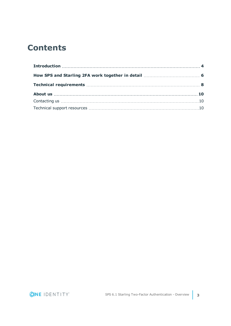## **Contents**

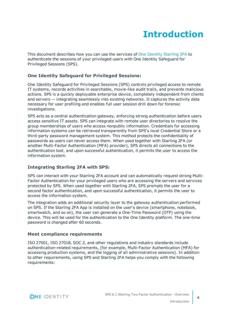# **Introduction**

<span id="page-3-0"></span>This document describes how you can use the services of One Identity [Starling](https://www.oneidentity.com/) 2FA to authenticate the sessions of your privileged users with One Identity Safeguard for Privileged Sessions (SPS).

### **One Identity Safeguard for Privileged Sessions:**

One Identity Safeguard for Privileged Sessions (SPS) controls privileged access to remote IT systems, records activities in searchable, movie-like audit trails, and prevents malicious actions. SPS is a quickly deployable enterprise device, completely independent from clients and servers — integrating seamlessly into existing networks. It captures the activity data necessary for user profiling and enables full user session drill down for forensic investigations.

SPS acts as a central authentication gateway, enforcing strong authentication before users access sensitive IT assets. SPS can integrate with remote user directories to resolve the group memberships of users who access nonpublic information. Credentials for accessing information systems can be retrieved transparently from SPS's local Credential Store or a third-party password management system. This method protects the confidentiality of passwords as users can never access them. When used together with Starling 2FA (or another Multi-Factor Authentication (MFA) provider), SPS directs all connections to the authentication tool, and upon successful authentication, it permits the user to access the information system.

### **Integrating Starling 2FA with SPS:**

SPS can interact with your Starling 2FA account and can automatically request strong Multi-Factor Authentication for your privileged users who are accessing the servers and services protected by SPS. When used together with Starling 2FA, SPS prompts the user for a second factor authentication, and upon successful authentication, it permits the user to access the information system.

The integration adds an additional security layer to the gateway authentication performed on SPS. If the Starling 2FA App is installed on the user's device (smartphone, notebook, smartwatch, and so on), the user can generate a One-Time Password (OTP) using the device. This will be used for the authentication to the One Identity platform. The one-time password is changed after 60 seconds.

### **Meet compliance requirements**

ISO 27001, ISO 27018, SOC 2, and other regulations and industry standards include authentication-related requirements, (for example, Multi-Factor Authentication (MFA) for accessing production systems, and the logging of all administrative sessions). In addition to other requirements, using SPS and Starling 2FA helps you comply with the following requirements:

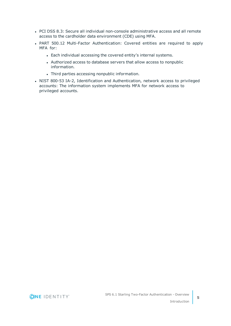- PCI DSS 8.3: Secure all individual non-console administrative access and all remote access to the cardholder data environment (CDE) using MFA.
- PART 500.12 Multi-Factor Authentication: Covered entities are required to apply MFA for:
	- Each individual accessing the covered entity's internal systems.
	- Authorized access to database servers that allow access to nonpublic information.
	- Third parties accessing nonpublic information.
- NIST 800-53 IA-2, Identification and Authentication, network access to privileged accounts: The information system implements MFA for network access to privileged accounts.

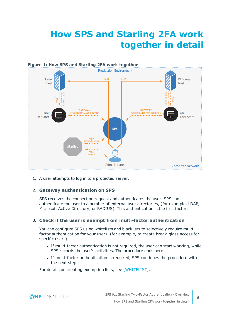# <span id="page-5-0"></span>**How SPS and Starling 2FA work together in detail**



1. A user attempts to log in to a protected server.

### 2. **Gateway authentication on SPS**

SPS receives the connection request and authenticates the user. SPS can authenticate the user to a number of external user directories, (for example, LDAP, Microsoft Active Directory, or RADIUS). This authentication is the first factor.

#### 3. **Check if the user is exempt from multi-factor authentication**

You can configure SPS using whitelists and blacklists to selectively require multifactor authentication for your users, (for example, to create break-glass access for specific users).

- If multi-factor authentication is not required, the user can start working, while SPS records the user's activities. The procedure ends here.
- If multi-factor authentication is required, SPS continues the procedure with the next step.

For details on creating exemption lists, see [WHITELIST].

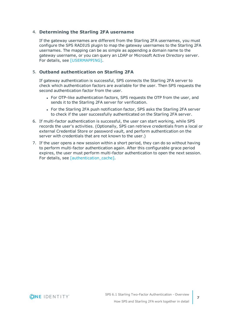#### 4. **Determining the Starling 2FA username**

If the gateway usernames are different from the Starling 2FA usernames, you must configure the SPS RADIUS plugin to map the gateway usernames to the Starling 2FA usernames. The mapping can be as simple as appending a domain name to the gateway username, or you can query an LDAP or Microsoft Active Directory server. For details, see [USERMAPPING].

#### 5. **Outband authentication on Starling 2FA**

If gateway authentication is successful, SPS connects the Starling 2FA server to check which authentication factors are available for the user. Then SPS requests the second authentication factor from the user.

- For OTP-like authentication factors, SPS requests the OTP from the user, and sends it to the Starling 2FA server for verification.
- For the Starling 2FA push notification factor, SPS asks the Starling 2FA server to check if the user successfully authenticated on the Starling 2FA server.
- 6. If multi-factor authentication is successful, the user can start working, while SPS records the user's activities. (Optionally, SPS can retrieve credentials from a local or external Credential Store or password vault, and perform authentication on the server with credentials that are not known to the user.)
- 7. If the user opens a new session within a short period, they can do so without having to perform multi-factor authentication again. After this configurable grace period expires, the user must perform multi-factor authentication to open the next session. For details, see [authentication\_cache].

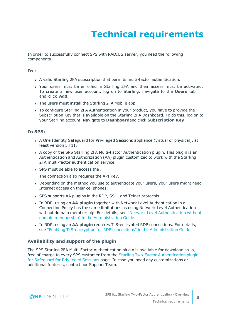# **Technical requirements**

<span id="page-7-0"></span>In order to successfully connect SPS with RADIUS server, you need the following components.

#### **In :**

- A valid Starling 2FA subscription that permits multi-factor authentication.
- Your users must be enrolled in Starling 2FA and their access must be activated. To create a new user account, log on to Starling, navigate to the **Users** tab and click **Add**.
- The users must install the Starling 2FA Mobile app.
- To configure Starling 2FA Authentication in your product, you have to provide the Subscription Key that is available on the Starling 2FA Dashboard. To do this, log on to your Starling account. Navigate to **Dashboard**and click **Subscription Key**.

#### **In SPS:**

- A One Identity Safeguard for Privileged Sessions appliance (virtual or physical), at least version 5 F11.
- A copy of the SPS Starling 2FA Multi-Factor Authentication plugin. This plugin is an Authentication and Authorization (AA) plugin customized to work with the Starling 2FA multi-factor authentication service.
- SPS must be able to access the .

The connection also requires the API Key.

- Depending on the method you use to authenticate your users, your users might need Internet access on their cellphones.
- SPS supports AA plugins in the RDP, SSH, and Telnet protocols.
- **In RDP, using an AA plugin together with Network Level Authentication in a** Connection Policy has the same limitations as using Network Level Authentication without domain membership. For details, see "Network Level [Authentication](https://support.oneidentity.com/technical-documents/safeguard-for-privileged-sessions/6.1.0/administration-guide/rdp-specific-settings/network-level-authentication-nla-with-one-identity-safeguard-for-privileged-sessions-sps/network-level-authentication-without-domain-membership/) without domain membership" in the [Administration](https://support.oneidentity.com/technical-documents/safeguard-for-privileged-sessions/6.1.0/administration-guide/rdp-specific-settings/network-level-authentication-nla-with-one-identity-safeguard-for-privileged-sessions-sps/network-level-authentication-without-domain-membership/) Guide.
- **In RDP, using an AA plugin requires TLS-encrypted RDP connections. For details,** see "Enabling [TLS-encryption](https://support.oneidentity.com/technical-documents/safeguard-for-privileged-sessions/6.1.0/administration-guide/rdp-specific-settings/enabling-tls-encryption-for-rdp-connections/) for RDP connections" in the Administration Guide.

#### **Availability and support of the plugin**

The SPS Starling 2FA Multi-Factor Authentication plugin is available for download as-is, free of charge to every SPS customer from the Starling Two-Factor [Authentication](https://github.com/OneIdentity/safeguard-sessions-plugin-starling-2fa) plugin for [Safeguard](https://github.com/OneIdentity/safeguard-sessions-plugin-starling-2fa) for Privileged Sessions page. In case you need any customizations or additional features, contact our Support Team.

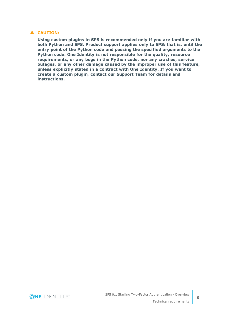### **A** CAUTION:

**Using custom plugins in SPS is recommended only if you are familiar with both Python and SPS. Product support applies only to SPS: that is, until the entry point of the Python code and passing the specified arguments to the Python code. One Identity is not responsible for the quality, resource requirements, or any bugs in the Python code, nor any crashes, service outages, or any other damage caused by the improper use of this feature, unless explicitly stated in a contract with One Identity. If you want to create a custom plugin, contact our Support Team for details and instructions.**